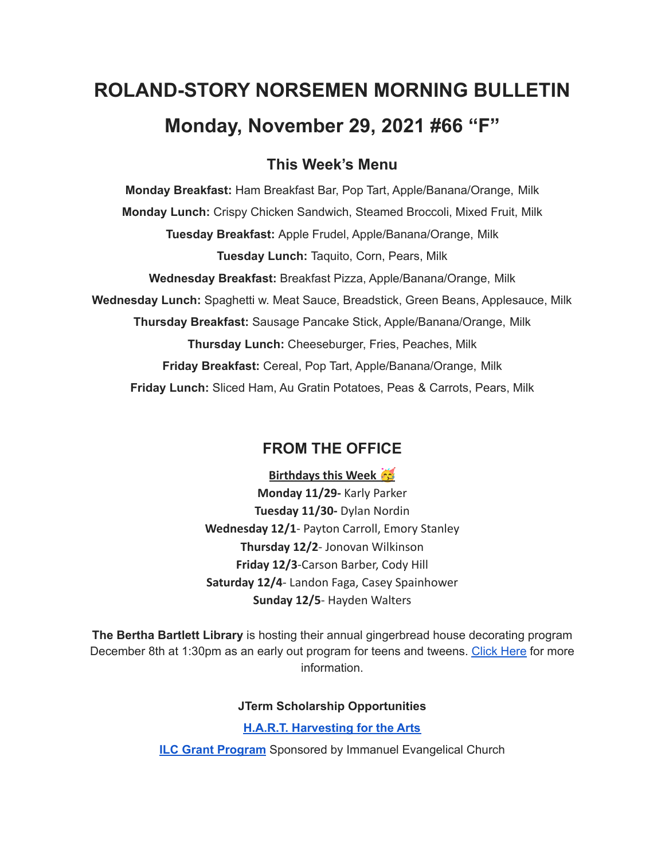# **ROLAND-STORY NORSEMEN MORNING BULLETIN Monday, November 29, 2021 #66 "F"**

# **This Week's Menu**

**Monday Breakfast:** Ham Breakfast Bar, Pop Tart, Apple/Banana/Orange, Milk **Monday Lunch:** Crispy Chicken Sandwich, Steamed Broccoli, Mixed Fruit, Milk **Tuesday Breakfast:** Apple Frudel, Apple/Banana/Orange, Milk **Tuesday Lunch:** Taquito, Corn, Pears, Milk **Wednesday Breakfast:** Breakfast Pizza, Apple/Banana/Orange, Milk **Wednesday Lunch:** Spaghetti w. Meat Sauce, Breadstick, Green Beans, Applesauce, Milk **Thursday Breakfast:** Sausage Pancake Stick, Apple/Banana/Orange, Milk **Thursday Lunch:** Cheeseburger, Fries, Peaches, Milk **Friday Breakfast:** Cereal, Pop Tart, Apple/Banana/Orange, Milk **Friday Lunch:** Sliced Ham, Au Gratin Potatoes, Peas & Carrots, Pears, Milk

# **FROM THE OFFICE**

**Birthdays this Week Monday 11/29-** Karly Parker **Tuesday 11/30-** Dylan Nordin **Wednesday 12/1**- Payton Carroll, Emory Stanley **Thursday 12/2**- Jonovan Wilkinson **Friday 12/3**-Carson Barber, Cody Hill **Saturday 12/4**- Landon Faga, Casey Spainhower **Sunday 12/5**- Hayden Walters

**The Bertha Bartlett Library** is hosting their annual gingerbread house decorating program December 8th at 1:30pm as an early out program for teens and tweens. [Click](https://drive.google.com/file/d/1CGmF_50aOwKsD39mKxU7mwvY-md9xy5B/view?usp=sharing) Here for more information.

## **JTerm Scholarship Opportunities**

## **H.A.R.T. [Harvesting](https://drive.google.com/file/d/11g4-lZB5o7SgG3y5R4Ux7ycNKvq857Rx/view?usp=sharing) for the Arts**

**ILC Grant [Program](https://docs.google.com/document/d/1b9DHMpZaVSj48gvRrAlQ3TA3HICpz-mx/edit?usp=sharing&ouid=114282091537110464265&rtpof=true&sd=true)** Sponsored by Immanuel Evangelical Church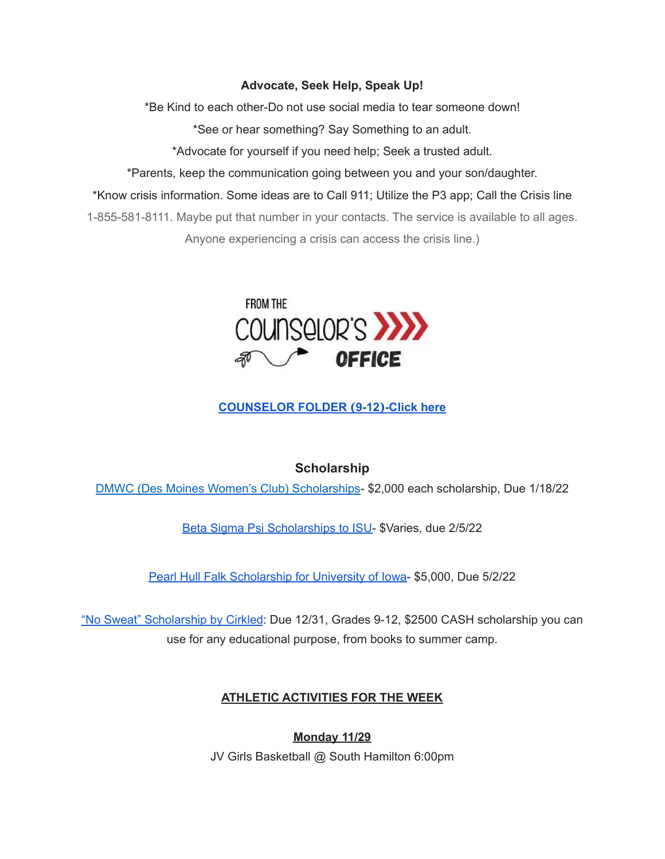## **Advocate, Seek Help, Speak Up!**

\*Be Kind to each other-Do not use social media to tear someone down!

\*See or hear something? Say Something to an adult.

\*Advocate for yourself if you need help; Seek a trusted adult.

\*Parents, keep the communication going between you and your son/daughter.

\*Know crisis information. Some ideas are to Call 911; Utilize the P3 app; Call the Crisis line

1-855-581-8111. Maybe put that number in your contacts. The service is available to all ages. Anyone experiencing a crisis can access the crisis line.)



# **[COUNSELOR](https://docs.google.com/document/d/1vmwczNPbDzXe9vFaG5LJMQ7NYDv-i4oQJHybqA65TUc/edit?usp=sharing) FOLDER (9-12)-Click here**

## **Scholarship**

DMWC (Des Moines Women's Club) [Scholarships](https://www.desmoineswomensclub.com/scholarships)- \$2,000 each scholarship, Due 1/18/22

Beta Sigma Psi [Scholarships](http://epsilon.betasigmapsi.org/scholarship/) to ISU- \$Varies, due 2/5/22

Pearl Hull Falk [Scholarship](https://drive.google.com/file/d/1Agzc2VSOwE8oHrqccRuI2OOv1TMeps-P/view?usp=sharing) for University of Iowa- \$5,000, Due 5/2/22

"No Sweat" [Scholarship](https://www.cirkledin.com/scholarships/) by Cirkled: Due 12/31, Grades 9-12, \$2500 CASH scholarship you can use for any educational purpose, from books to summer camp.

## **ATHLETIC ACTIVITIES FOR THE WEEK**

**Monday 11/29** JV Girls Basketball @ South Hamilton 6:00pm